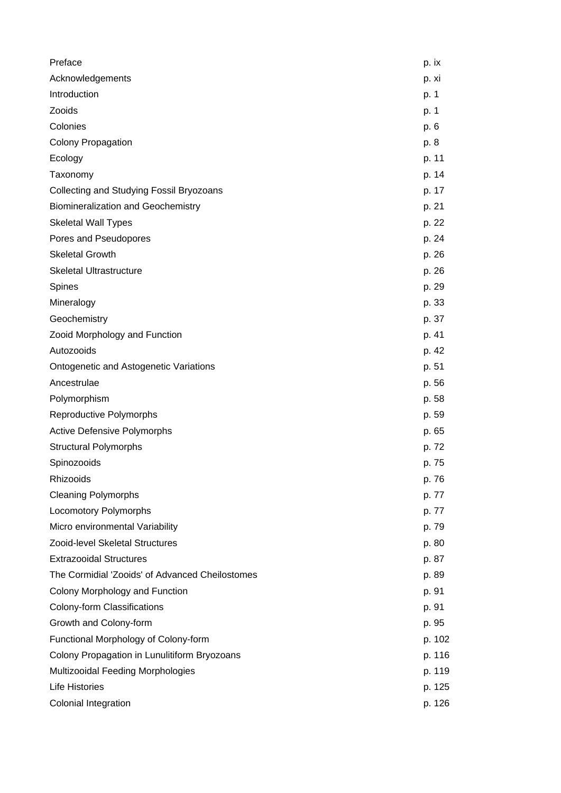| Preface                                         | p. ix  |
|-------------------------------------------------|--------|
| Acknowledgements                                | p. xi  |
| Introduction                                    | p. 1   |
| Zooids                                          | p. 1   |
| Colonies                                        | p. 6   |
| <b>Colony Propagation</b>                       | p. 8   |
| Ecology                                         | p. 11  |
| Taxonomy                                        | p. 14  |
| Collecting and Studying Fossil Bryozoans        | p. 17  |
| <b>Biomineralization and Geochemistry</b>       | p. 21  |
| <b>Skeletal Wall Types</b>                      | p. 22  |
| Pores and Pseudopores                           | p. 24  |
| <b>Skeletal Growth</b>                          | p. 26  |
| <b>Skeletal Ultrastructure</b>                  | p. 26  |
| Spines                                          | p. 29  |
| Mineralogy                                      | p. 33  |
| Geochemistry                                    | p. 37  |
| Zooid Morphology and Function                   | p. 41  |
| Autozooids                                      | p. 42  |
| <b>Ontogenetic and Astogenetic Variations</b>   | p. 51  |
| Ancestrulae                                     | p. 56  |
| Polymorphism                                    | p. 58  |
| Reproductive Polymorphs                         | p. 59  |
| <b>Active Defensive Polymorphs</b>              | p. 65  |
| <b>Structural Polymorphs</b>                    | p. 72  |
| Spinozooids                                     | p. 75  |
| Rhizooids                                       | p. 76  |
| <b>Cleaning Polymorphs</b>                      | p. 77  |
| <b>Locomotory Polymorphs</b>                    | p. 77  |
| Micro environmental Variability                 | p. 79  |
| Zooid-level Skeletal Structures                 | p. 80  |
| <b>Extrazooidal Structures</b>                  | p. 87  |
| The Cormidial 'Zooids' of Advanced Cheilostomes | p. 89  |
| Colony Morphology and Function                  | p. 91  |
| Colony-form Classifications                     | p. 91  |
| Growth and Colony-form                          | p. 95  |
| Functional Morphology of Colony-form            | p. 102 |
| Colony Propagation in Lunulitiform Bryozoans    | p. 116 |
| Multizooidal Feeding Morphologies               | p. 119 |
| <b>Life Histories</b>                           | p. 125 |
| Colonial Integration                            | p. 126 |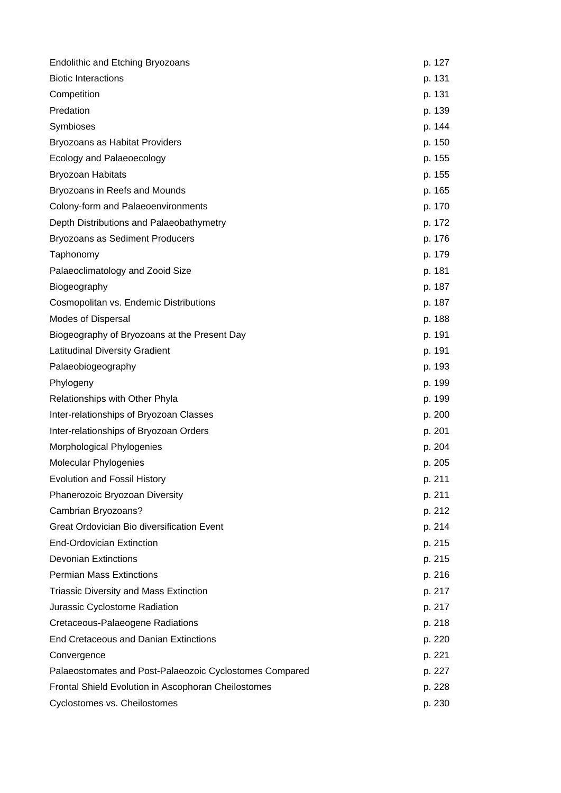| <b>Endolithic and Etching Bryozoans</b>                 | p. 127 |
|---------------------------------------------------------|--------|
| <b>Biotic Interactions</b>                              | p. 131 |
| Competition                                             | p. 131 |
| Predation                                               | p. 139 |
| Symbioses                                               | p. 144 |
| Bryozoans as Habitat Providers                          | p. 150 |
| Ecology and Palaeoecology                               | p. 155 |
| <b>Bryozoan Habitats</b>                                | p. 155 |
| Bryozoans in Reefs and Mounds                           | p. 165 |
| Colony-form and Palaeoenvironments                      | p. 170 |
| Depth Distributions and Palaeobathymetry                | p. 172 |
| Bryozoans as Sediment Producers                         | p. 176 |
| Taphonomy                                               | p. 179 |
| Palaeoclimatology and Zooid Size                        | p. 181 |
| Biogeography                                            | p. 187 |
| Cosmopolitan vs. Endemic Distributions                  | p. 187 |
| <b>Modes of Dispersal</b>                               | p. 188 |
| Biogeography of Bryozoans at the Present Day            | p. 191 |
| <b>Latitudinal Diversity Gradient</b>                   | p. 191 |
| Palaeobiogeography                                      | p. 193 |
| Phylogeny                                               | p. 199 |
| Relationships with Other Phyla                          | p. 199 |
| Inter-relationships of Bryozoan Classes                 | p. 200 |
| Inter-relationships of Bryozoan Orders                  | p. 201 |
| Morphological Phylogenies                               | p. 204 |
| <b>Molecular Phylogenies</b>                            | p. 205 |
| <b>Evolution and Fossil History</b>                     | p. 211 |
| Phanerozoic Bryozoan Diversity                          | p. 211 |
| Cambrian Bryozoans?                                     | p. 212 |
| Great Ordovician Bio diversification Event              | p. 214 |
| <b>End-Ordovician Extinction</b>                        | p. 215 |
| <b>Devonian Extinctions</b>                             | p. 215 |
| <b>Permian Mass Extinctions</b>                         | p. 216 |
| <b>Triassic Diversity and Mass Extinction</b>           | p. 217 |
| Jurassic Cyclostome Radiation                           | p. 217 |
| Cretaceous-Palaeogene Radiations                        | p. 218 |
| <b>End Cretaceous and Danian Extinctions</b>            | p. 220 |
| Convergence                                             | p. 221 |
| Palaeostomates and Post-Palaeozoic Cyclostomes Compared | p. 227 |
| Frontal Shield Evolution in Ascophoran Cheilostomes     | p. 228 |
| Cyclostomes vs. Cheilostomes                            | p. 230 |